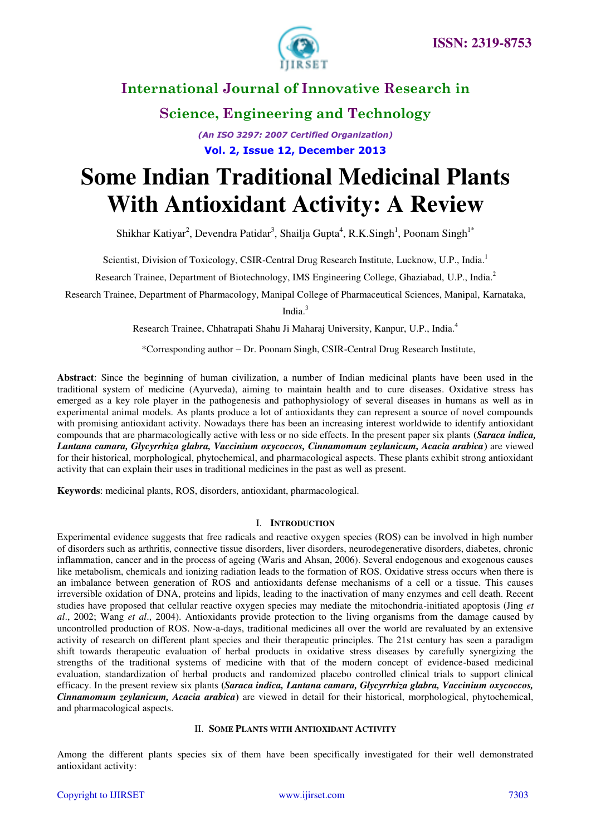

**Science, Engineering and Technology** 

*(An ISO 3297: 2007 Certified Organization)*  **Vol. 2, Issue 12, December 2013**

# **Some Indian Traditional Medicinal Plants With Antioxidant Activity: A Review**

Shikhar Katiyar<sup>2</sup>, Devendra Patidar<sup>3</sup>, Shailja Gupta<sup>4</sup>, R.K.Singh<sup>1</sup>, Poonam Singh<sup>1\*</sup>

Scientist, Division of Toxicology, CSIR-Central Drug Research Institute, Lucknow, U.P., India.<sup>1</sup>

Research Trainee, Department of Biotechnology, IMS Engineering College, Ghaziabad, U.P., India.<sup>2</sup>

Research Trainee, Department of Pharmacology, Manipal College of Pharmaceutical Sciences, Manipal, Karnataka,

India.<sup>3</sup>

Research Trainee, Chhatrapati Shahu Ji Maharaj University, Kanpur, U.P., India.<sup>4</sup>

\*Corresponding author – Dr. Poonam Singh, CSIR-Central Drug Research Institute,

**Abstract**: Since the beginning of human civilization, a number of Indian medicinal plants have been used in the traditional system of medicine (Ayurveda), aiming to maintain health and to cure diseases. Oxidative stress has emerged as a key role player in the pathogenesis and pathophysiology of several diseases in humans as well as in experimental animal models. As plants produce a lot of antioxidants they can represent a source of novel compounds with promising antioxidant activity. Nowadays there has been an increasing interest worldwide to identify antioxidant compounds that are pharmacologically active with less or no side effects. In the present paper six plants **(***Saraca indica, Lantana camara, Glycyrrhiza glabra, Vaccinium oxycoccos, Cinnamomum zeylanicum, Acacia arabica***)** are viewed for their historical, morphological, phytochemical, and pharmacological aspects. These plants exhibit strong antioxidant activity that can explain their uses in traditional medicines in the past as well as present.

**Keywords**: medicinal plants, ROS, disorders, antioxidant, pharmacological.

### I. **INTRODUCTION**

Experimental evidence suggests that free radicals and reactive oxygen species (ROS) can be involved in high number of disorders such as arthritis, connective tissue disorders, liver disorders, neurodegenerative disorders, diabetes, chronic inflammation, cancer and in the process of ageing (Waris and Ahsan, 2006). Several endogenous and exogenous causes like metabolism, chemicals and ionizing radiation leads to the formation of ROS. Oxidative stress occurs when there is an imbalance between generation of ROS and antioxidants defense mechanisms of a cell or a tissue. This causes irreversible oxidation of DNA, proteins and lipids, leading to the inactivation of many enzymes and cell death. Recent studies have proposed that cellular reactive oxygen species may mediate the mitochondria-initiated apoptosis (Jing *et al*., 2002; Wang *et al*., 2004). Antioxidants provide protection to the living organisms from the damage caused by uncontrolled production of ROS. Now-a-days, traditional medicines all over the world are revaluated by an extensive activity of research on different plant species and their therapeutic principles. The 21st century has seen a paradigm shift towards therapeutic evaluation of herbal products in oxidative stress diseases by carefully synergizing the strengths of the traditional systems of medicine with that of the modern concept of evidence-based medicinal evaluation, standardization of herbal products and randomized placebo controlled clinical trials to support clinical efficacy. In the present review six plants **(***Saraca indica, Lantana camara, Glycyrrhiza glabra, Vaccinium oxycoccos, Cinnamomum zeylanicum, Acacia arabica***)** are viewed in detail for their historical, morphological, phytochemical, and pharmacological aspects.

### II. **SOME PLANTS WITH ANTIOXIDANT ACTIVITY**

Among the different plants species six of them have been specifically investigated for their well demonstrated antioxidant activity: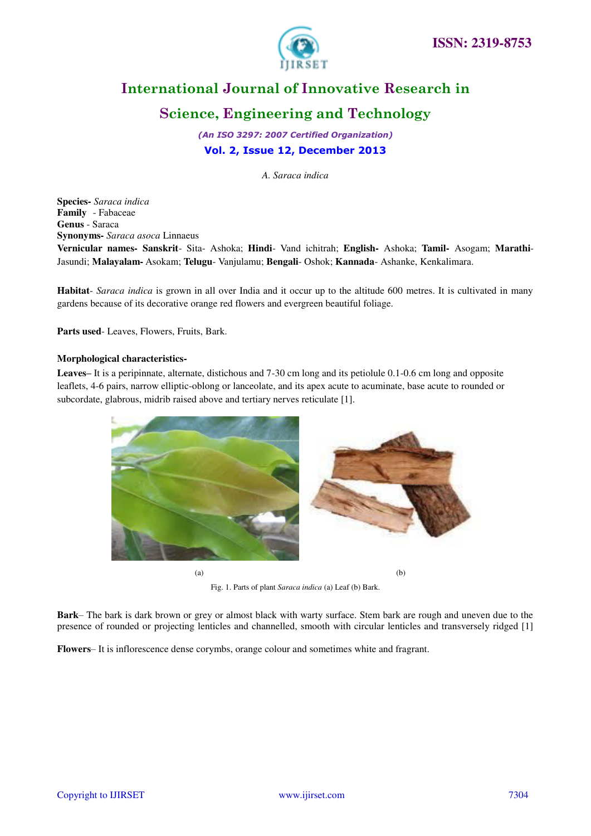

## **Science, Engineering and Technology**

*(An ISO 3297: 2007 Certified Organization)*  **Vol. 2, Issue 12, December 2013**

*A. Saraca indica* 

**Species-** *Saraca indica* **Family** - Fabaceae **Genus** - Saraca **Synonyms-** *Saraca asoca* Linnaeus **Vernicular names- Sanskrit**- Sita- Ashoka; **Hindi**- Vand ichitrah; **English-** Ashoka; **Tamil-** Asogam; **Marathi**-Jasundi; **Malayalam-** Asokam; **Telugu**- Vanjulamu; **Bengali**- Oshok; **Kannada**- Ashanke, Kenkalimara.

**Habitat**- *Saraca indica* is grown in all over India and it occur up to the altitude 600 metres. It is cultivated in many gardens because of its decorative orange red flowers and evergreen beautiful foliage.

**Parts used**- Leaves, Flowers, Fruits, Bark.

### **Morphological characteristics-**

**Leaves–** It is a peripinnate, alternate, distichous and 7-30 cm long and its petiolule 0.1-0.6 cm long and opposite leaflets, 4-6 pairs, narrow elliptic-oblong or lanceolate, and its apex acute to acuminate, base acute to rounded or subcordate, glabrous, midrib raised above and tertiary nerves reticulate [1].



Fig. 1. Parts of plant *Saraca indica* (a) Leaf (b) Bark.

**Bark**– The bark is dark brown or grey or almost black with warty surface. Stem bark are rough and uneven due to the presence of rounded or projecting lenticles and channelled, smooth with circular lenticles and transversely ridged [1]

**Flowers**– It is inflorescence dense corymbs, orange colour and sometimes white and fragrant.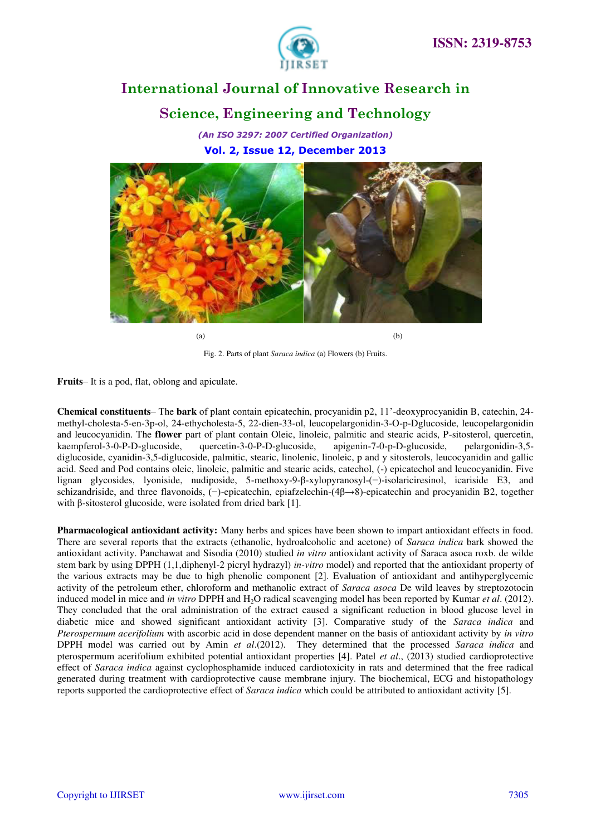

## **International Journal of Innovative Research in Science, Engineering and Technology**

*(An ISO 3297: 2007 Certified Organization)*  **Vol. 2, Issue 12, December 2013**



 $(a)$  (b)

Fig. 2. Parts of plant *Saraca indica* (a) Flowers (b) Fruits.

**Fruits**– It is a pod, flat, oblong and apiculate.

**Chemical constituents**– The **bark** of plant contain epicatechin, procyanidin p2, 11'-deoxyprocyanidin B, catechin, 24 methyl-cholesta-5-en-3p-ol, 24-ethycholesta-5, 22-dien-33-ol, leucopelargonidin-3-O-p-Dglucoside, leucopelargonidin and leucocyanidin. The **flower** part of plant contain Oleic, linoleic, palmitic and stearic acids, P-sitosterol, quercetin, kaempferol-3-0-P-D-glucoside, quercetin-3-0-P-D-glucoside, apigenin-7-0-p-D-glucoside, pelargonidin-3,5 diglucoside, cyanidin-3,5-diglucoside, palmitic, stearic, linolenic, linoleic, p and y sitosterols, leucocyanidin and gallic acid. Seed and Pod contains oleic, linoleic, palmitic and stearic acids, catechol, (-) epicatechol and leucocyanidin. Five lignan glycosides, lyoniside, nudiposide, 5-methoxy-9-β-xylopyranosyl-(−)-isolariciresinol, icariside E3, and schizandriside, and three flavonoids, (−)-epicatechin, epiafzelechin-(4β→8)-epicatechin and procyanidin B2, together with β-sitosterol glucoside, were isolated from dried bark [1].

**Pharmacological antioxidant activity:** Many herbs and spices have been shown to impart antioxidant effects in food. There are several reports that the extracts (ethanolic, hydroalcoholic and acetone) of *Saraca indica* bark showed the antioxidant activity. Panchawat and Sisodia (2010) studied *in vitro* antioxidant activity of Saraca asoca roxb. de wilde stem bark by using DPPH (1,1,diphenyl-2 picryl hydrazyl) *in-vitro* model) and reported that the antioxidant property of the various extracts may be due to high phenolic component [2]. Evaluation of antioxidant and antihyperglycemic activity of the petroleum ether, chloroform and methanolic extract of *Saraca asoca* De wild leaves by streptozotocin induced model in mice and *in vitro* DPPH and H<sub>2</sub>O radical scavenging model has been reported by Kumar *et al.* (2012). They concluded that the oral administration of the extract caused a significant reduction in blood glucose level in diabetic mice and showed significant antioxidant activity [3]. Comparative study of the *Saraca indica* and *Pterospermum acerifolium* with ascorbic acid in dose dependent manner on the basis of antioxidant activity by *in vitro* DPPH model was carried out by Amin *et al*.(2012). They determined that the processed *Saraca indica* and pterospermum acerifolium exhibited potential antioxidant properties [4]. Patel *et al*., (2013) studied cardioprotective effect of *Saraca indica* against cyclophosphamide induced cardiotoxicity in rats and determined that the free radical generated during treatment with cardioprotective cause membrane injury. The biochemical, ECG and histopathology reports supported the cardioprotective effect of *Saraca indica* which could be attributed to antioxidant activity [5].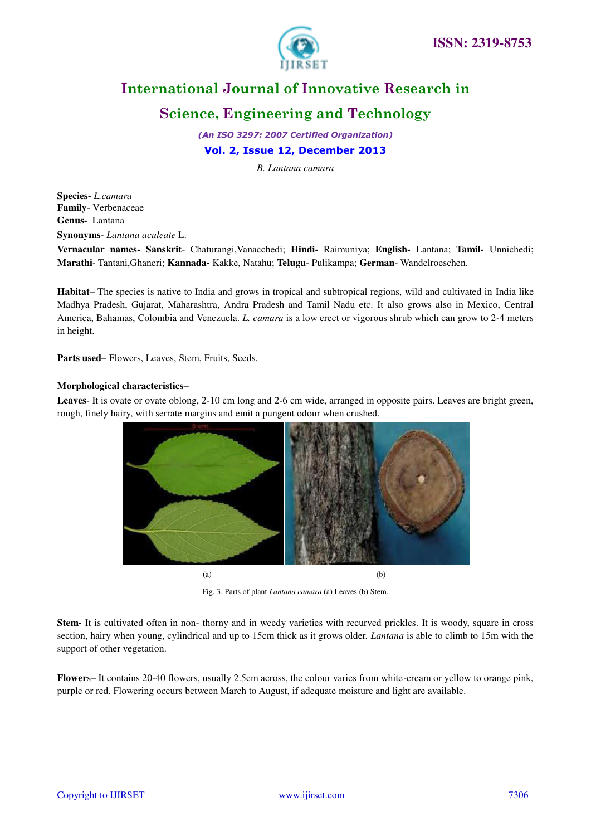

## **Science, Engineering and Technology**

*(An ISO 3297: 2007 Certified Organization)* 

### **Vol. 2, Issue 12, December 2013**

*B. Lantana camara* 

**Species-** *L.camara* **Family**- Verbenaceae **Genus-** Lantana **Synonyms**- *Lantana aculeate* L.

**Vernacular names- Sanskrit**- Chaturangi,Vanacchedi; **Hindi-** Raimuniya; **English-** Lantana; **Tamil-** Unnichedi; **Marathi**- Tantani,Ghaneri; **Kannada-** Kakke, Natahu; **Telugu**- Pulikampa; **German**- Wandelroeschen.

**Habitat**– The species is native to India and grows in tropical and subtropical regions, wild and cultivated in India like Madhya Pradesh, Gujarat, Maharashtra, Andra Pradesh and Tamil Nadu etc. It also grows also in Mexico, Central America, Bahamas, Colombia and Venezuela. *L. camara* is a low erect or vigorous shrub which can grow to 2-4 meters in height.

**Parts used**– Flowers, Leaves, Stem, Fruits, Seeds.

### **Morphological characteristics–**

**Leaves**- It is ovate or ovate oblong, 2-10 cm long and 2-6 cm wide, arranged in opposite pairs. Leaves are bright green, rough, finely hairy, with serrate margins and emit a pungent odour when crushed.



Fig. 3. Parts of plant *Lantana camara* (a) Leaves (b) Stem.

**Stem-** It is cultivated often in non- thorny and in weedy varieties with recurved prickles. It is woody, square in cross section, hairy when young, cylindrical and up to 15cm thick as it grows older. *Lantana* is able to climb to 15m with the support of other vegetation.

**Flower**s– It contains 20-40 flowers, usually 2.5cm across, the colour varies from white-cream or yellow to orange pink, purple or red. Flowering occurs between March to August, if adequate moisture and light are available.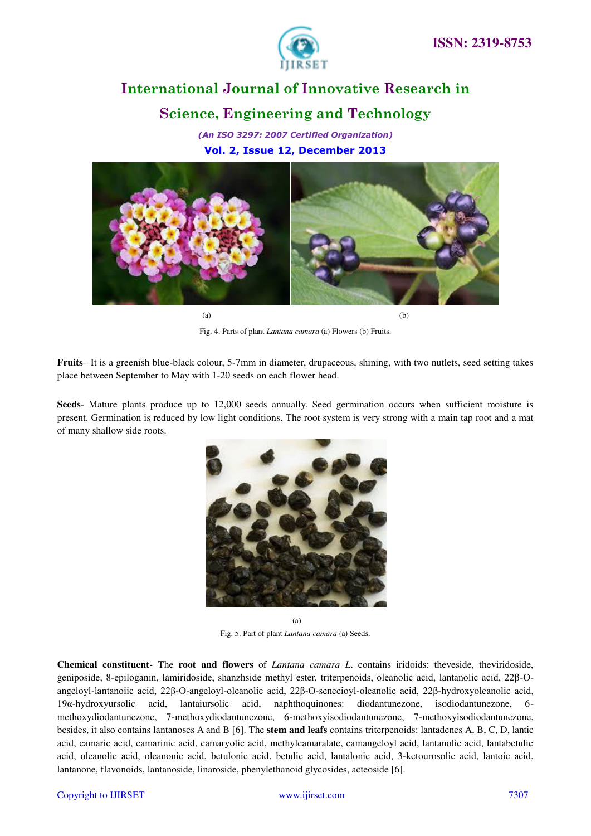

## **International Journal of Innovative Research in Science, Engineering and Technology**

*(An ISO 3297: 2007 Certified Organization)*  **Vol. 2, Issue 12, December 2013**



 $(a)$  (b)

Fig. 4. Parts of plant *Lantana camara* (a) Flowers (b) Fruits.

**Fruits**– It is a greenish blue-black colour, 5-7mm in diameter, drupaceous, shining, with two nutlets, seed setting takes place between September to May with 1-20 seeds on each flower head.

**Seeds**- Mature plants produce up to 12,000 seeds annually. Seed germination occurs when sufficient moisture is present. Germination is reduced by low light conditions. The root system is very strong with a main tap root and a mat of many shallow side roots.



Fig. 5. Part of plant *Lantana camara* (a) Seeds. (a)

**Chemical constituent-** The **root and flowers** of *Lantana camara L*. contains iridoids: theveside, theviridoside, geniposide, 8-epiloganin, lamiridoside, shanzhside methyl ester, triterpenoids, oleanolic acid, lantanolic acid, 22β-Oangeloyl-lantanoiic acid, 22β-O-angeloyl-oleanolic acid, 22β-O-senecioyl-oleanolic acid, 22β-hydroxyoleanolic acid, 19α-hydroxyursolic acid, lantaiursolic acid, naphthoquinones: diodantunezone, isodiodantunezone, 6 methoxydiodantunezone, 7-methoxydiodantunezone, 6-methoxyisodiodantunezone, 7-methoxyisodiodantunezone, besides, it also contains lantanoses A and B [6]. The **stem and leafs** contains triterpenoids: lantadenes A, B, C, D, lantic acid, camaric acid, camarinic acid, camaryolic acid, methylcamaralate, camangeloyl acid, lantanolic acid, lantabetulic acid, oleanolic acid, oleanonic acid, betulonic acid, betulic acid, lantalonic acid, 3-ketourosolic acid, lantoic acid, lantanone, flavonoids, lantanoside, linaroside, phenylethanoid glycosides, acteoside [6].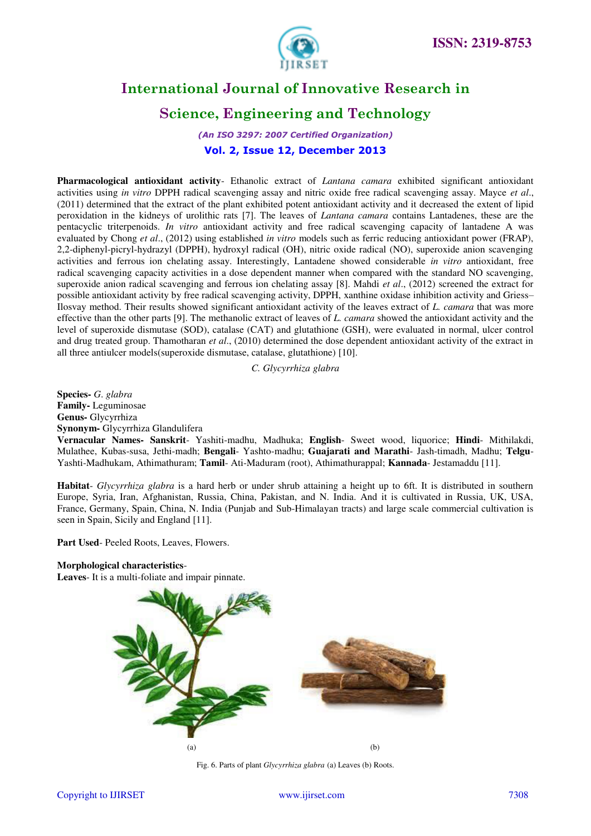

## **Science, Engineering and Technology**

*(An ISO 3297: 2007 Certified Organization)*  **Vol. 2, Issue 12, December 2013**

**Pharmacological antioxidant activity**- Ethanolic extract of *Lantana camara* exhibited significant antioxidant activities using *in vitro* DPPH radical scavenging assay and nitric oxide free radical scavenging assay. Mayce *et al*., (2011) determined that the extract of the plant exhibited potent antioxidant activity and it decreased the extent of lipid peroxidation in the kidneys of urolithic rats [7]. The leaves of *Lantana camara* contains Lantadenes, these are the pentacyclic triterpenoids. *In vitro* antioxidant activity and free radical scavenging capacity of lantadene A was evaluated by Chong *et al*., (2012) using established *in vitro* models such as ferric reducing antioxidant power (FRAP), 2,2-diphenyl-picryl-hydrazyl (DPPH), hydroxyl radical (OH), nitric oxide radical (NO), superoxide anion scavenging activities and ferrous ion chelating assay. Interestingly, Lantadene showed considerable *in vitro* antioxidant, free radical scavenging capacity activities in a dose dependent manner when compared with the standard NO scavenging, superoxide anion radical scavenging and ferrous ion chelating assay [8]. Mahdi *et al*., (2012) screened the extract for possible antioxidant activity by free radical scavenging activity, DPPH, xanthine oxidase inhibition activity and Griess– Ilosvay method. Their results showed significant antioxidant activity of the leaves extract of *L. camara* that was more effective than the other parts [9]. The methanolic extract of leaves of *L. camara* showed the antioxidant activity and the level of superoxide dismutase (SOD), catalase (CAT) and glutathione (GSH), were evaluated in normal, ulcer control and drug treated group. Thamotharan *et al*., (2010) determined the dose dependent antioxidant activity of the extract in all three antiulcer models(superoxide dismutase, catalase, glutathione) [10].

*C. Glycyrrhiza glabra* 

**Species-** *G*. *glabra* **Family-** Leguminosae **Genus-** Glycyrrhiza **Synonym-** Glycyrrhiza Glandulifera

**Vernacular Names- Sanskrit**- Yashiti-madhu, Madhuka; **English**- Sweet wood, liquorice; **Hindi**- Mithilakdi, Mulathee, Kubas-susa, Jethi-madh; **Bengali**- Yashto-madhu; **Guajarati and Marathi**- Jash-timadh, Madhu; **Telgu**-Yashti-Madhukam, Athimathuram; **Tamil**- Ati-Maduram (root), Athimathurappal; **Kannada**- Jestamaddu [11].

**Habitat**- *Glycyrrhiza glabra* is a hard herb or under shrub attaining a height up to 6ft. It is distributed in southern Europe, Syria, Iran, Afghanistan, Russia, China, Pakistan, and N. India. And it is cultivated in Russia, UK, USA, France, Germany, Spain, China, N. India (Punjab and Sub-Himalayan tracts) and large scale commercial cultivation is seen in Spain, Sicily and England [11].

**Part Used**- Peeled Roots, Leaves, Flowers.

### **Morphological characteristics**-

**Leaves**- It is a multi-foliate and impair pinnate.



Fig. 6. Parts of plant *Glycyrrhiza glabra* (a) Leaves (b) Roots.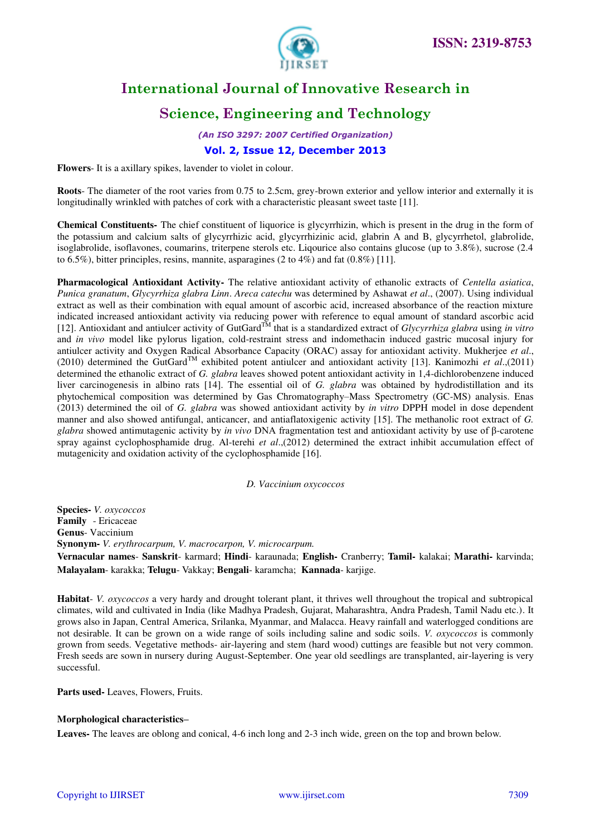

## **Science, Engineering and Technology**

*(An ISO 3297: 2007 Certified Organization)* 

### **Vol. 2, Issue 12, December 2013**

**Flowers**- It is a axillary spikes, lavender to violet in colour.

**Roots**- The diameter of the root varies from 0.75 to 2.5cm, grey-brown exterior and yellow interior and externally it is longitudinally wrinkled with patches of cork with a characteristic pleasant sweet taste [11].

**Chemical Constituents-** The chief constituent of liquorice is glycyrrhizin, which is present in the drug in the form of the potassium and calcium salts of glycyrrhizic acid, glycyrrhizinic acid, glabrin A and B, glycyrrhetol, glabrolide, isoglabrolide, isoflavones, coumarins, triterpene sterols etc. Liqourice also contains glucose (up to 3.8%), sucrose (2.4 to 6.5%), bitter principles, resins, mannite, asparagines  $(2 \text{ to } 4\%)$  and fat  $(0.8\%)$  [11].

**Pharmacological Antioxidant Activity-** The relative antioxidant activity of ethanolic extracts of *Centella asiatica*, *Punica granatum*, *Glycyrrhiza glabra Linn*. *Areca catechu* was determined by Ashawat *et al*., (2007). Using individual extract as well as their combination with equal amount of ascorbic acid, increased absorbance of the reaction mixture indicated increased antioxidant activity via reducing power with reference to equal amount of standard ascorbic acid [12]. Antioxidant and antiulcer activity of GutGardTM that is a standardized extract of *Glycyrrhiza glabra* using *in vitro* and *in vivo* model like pylorus ligation, cold-restraint stress and indomethacin induced gastric mucosal injury for antiulcer activity and Oxygen Radical Absorbance Capacity (ORAC) assay for antioxidant activity. Mukherjee *et al*., (2010) determined the GutGard<sup>TM</sup> exhibited potent antiulcer and antioxidant activity [13]. Kanimozhi *et al.*,(2011) determined the ethanolic extract of *G. glabra* leaves showed potent antioxidant activity in 1,4-dichlorobenzene induced liver carcinogenesis in albino rats [14]. The essential oil of *G. glabra* was obtained by hydrodistillation and its phytochemical composition was determined by Gas Chromatography–Mass Spectrometry (GC-MS) analysis. Enas (2013) determined the oil of *G. glabra* was showed antioxidant activity by *in vitro* DPPH model in dose dependent manner and also showed antifungal, anticancer, and antiaflatoxigenic activity [15]. The methanolic root extract of *G. glabra* showed antimutagenic activity by *in vivo* DNA fragmentation test and antioxidant activity by use of β-carotene spray against cyclophosphamide drug. Al-terehi *et al*.,(2012) determined the extract inhibit accumulation effect of mutagenicity and oxidation activity of the cyclophosphamide [16].

*D. Vaccinium oxycoccos* 

**Species-** *V. oxycoccos*  **Family** - Ericaceae **Genus**- Vaccinium **Synonym-** *V. erythrocarpum, V. macrocarpon, V. microcarpum.* 

**Vernacular names**- **Sanskrit**- karmard; **Hindi**- karaunada; **English-** Cranberry; **Tamil-** kalakai; **Marathi-** karvinda; **Malayalam**- karakka; **Telugu**- Vakkay; **Bengali**- karamcha; **Kannada**- karjige.

**Habitat**- *V. oxycoccos* a very hardy and drought tolerant plant, it thrives well throughout the tropical and subtropical climates, wild and cultivated in India (like Madhya Pradesh, Gujarat, Maharashtra, Andra Pradesh, Tamil Nadu etc.). It grows also in Japan, Central America, Srilanka, Myanmar, and Malacca. Heavy rainfall and waterlogged conditions are not desirable. It can be grown on a wide range of soils including saline and sodic soils. *V. oxycoccos* is commonly grown from seeds. Vegetative methods- air-layering and stem (hard wood) cuttings are feasible but not very common. Fresh seeds are sown in nursery during August-September. One year old seedlings are transplanted, air-layering is very successful.

**Parts used-** Leaves, Flowers, Fruits.

### **Morphological characteristics–**

**Leaves-** The leaves are oblong and conical, 4-6 inch long and 2-3 inch wide, green on the top and brown below.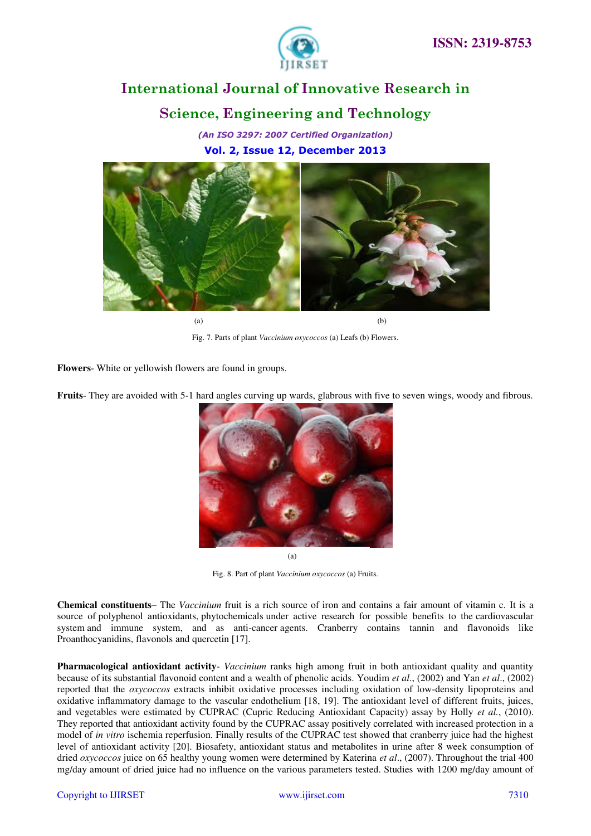

## **International Journal of Innovative Research in Science, Engineering and Technology**

*(An ISO 3297: 2007 Certified Organization)*  **Vol. 2, Issue 12, December 2013**



 $(a)$  (b)

Fig. 7. Parts of plant *Vaccinium oxycoccos* (a) Leafs (b) Flowers.

**Flowers**- White or yellowish flowers are found in groups.

**Fruits**- They are avoided with 5-1 hard angles curving up wards, glabrous with five to seven wings, woody and fibrous.



Fig. 8. Part of plant *Vaccinium oxycoccos* (a) Fruits.

**Chemical constituents**– The *Vaccinium* fruit is a rich source of iron and contains a fair amount of vitamin c. It is a source of polyphenol antioxidants, phytochemicals under active research for possible benefits to the cardiovascular system and immune system, and as anti-cancer agents. Cranberry contains tannin and flavonoids like Proanthocyanidins, flavonols and quercetin [17].

**Pharmacological antioxidant activity**- *Vaccinium* ranks high among fruit in both antioxidant quality and quantity because of its substantial flavonoid content and a wealth of phenolic acids. Youdim *et al*., (2002) and Yan *et al*., (2002) reported that the *oxycoccos* extracts inhibit oxidative processes including oxidation of low-density lipoproteins and oxidative inflammatory damage to the vascular endothelium [18, 19]. The antioxidant level of different fruits, juices, and vegetables were estimated by CUPRAC (Cupric Reducing Antioxidant Capacity) assay by Holly *et al.*, (2010). They reported that antioxidant activity found by the CUPRAC assay positively correlated with increased protection in a model of *in vitro* ischemia reperfusion. Finally results of the CUPRAC test showed that cranberry juice had the highest level of antioxidant activity [20]. Biosafety, antioxidant status and metabolites in urine after 8 week consumption of dried *oxycoccos* juice on 65 healthy young women were determined by Katerina *et al*., (2007). Throughout the trial 400 mg/day amount of dried juice had no influence on the various parameters tested. Studies with 1200 mg/day amount of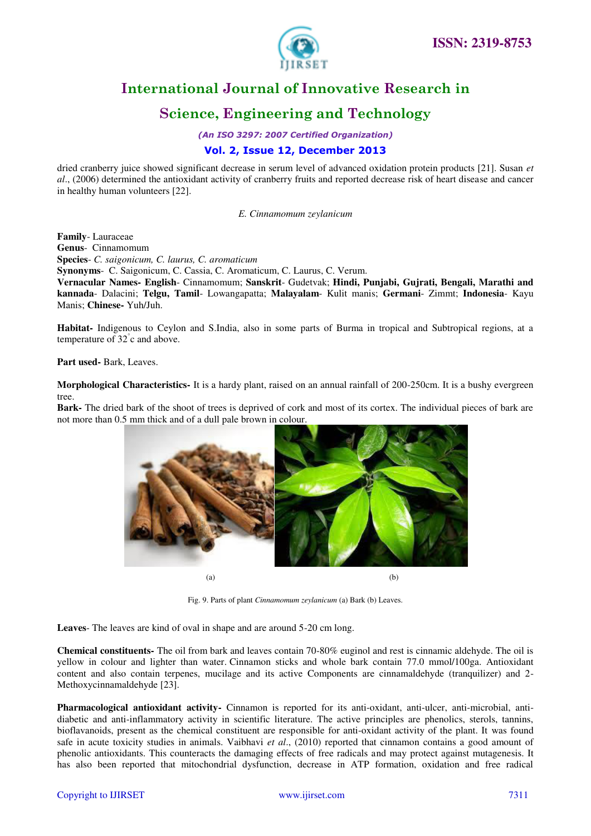

## **Science, Engineering and Technology**

*(An ISO 3297: 2007 Certified Organization)* 

### **Vol. 2, Issue 12, December 2013**

dried cranberry juice showed significant decrease in serum level of advanced oxidation protein products [21]. Susan *et al*., (2006) determined the antioxidant activity of cranberry fruits and reported decrease risk of heart disease and cancer in healthy human volunteers [22].

*E. Cinnamomum zeylanicum* 

**Family**- Lauraceae **Genus**- Cinnamomum **Species**- *C. saigonicum, C. laurus, C. aromaticum* **Synonyms**- C. Saigonicum, C. Cassia, C. Aromaticum, C. Laurus, C. Verum. **Vernacular Names- English**- Cinnamomum; **Sanskrit**- Gudetvak; **Hindi, Punjabi, Gujrati, Bengali, Marathi and kannada**- Dalacini; **Telgu, Tamil**- Lowangapatta; **Malayalam**- Kulit manis; **Germani**- Zimmt; **Indonesia**- Kayu

Manis; **Chinese-** Yuh/Juh. **Habitat-** Indigenous to Ceylon and S.India, also in some parts of Burma in tropical and Subtropical regions, at a

**Part used-** Bark, Leaves.

temperature of 32° c and above.

**Morphological Characteristics-** It is a hardy plant, raised on an annual rainfall of 200-250cm. It is a bushy evergreen tree.

**Bark-** The dried bark of the shoot of trees is deprived of cork and most of its cortex. The individual pieces of bark are not more than 0.5 mm thick and of a dull pale brown in colour.



Fig. 9. Parts of plant *Cinnamomum zeylanicum* (a) Bark (b) Leaves.

**Leaves**- The leaves are kind of oval in shape and are around 5-20 cm long.

**Chemical constituents-** The oil from bark and leaves contain 70-80% euginol and rest is cinnamic aldehyde. The oil is yellow in colour and lighter than water. Cinnamon sticks and whole bark contain 77.0 mmol/100ga. Antioxidant content and also contain terpenes, mucilage and its active Components are cinnamaldehyde (tranquilizer) and 2- Methoxycinnamaldehyde [23].

**Pharmacological antioxidant activity-** Cinnamon is reported for its anti-oxidant, anti-ulcer, anti-microbial, antidiabetic and anti-inflammatory activity in scientific literature. The active principles are phenolics, sterols, tannins, bioflavanoids, present as the chemical constituent are responsible for anti-oxidant activity of the plant. It was found safe in acute toxicity studies in animals. Vaibhavi *et al*., (2010) reported that cinnamon contains a good amount of phenolic antioxidants. This counteracts the damaging effects of free radicals and may protect against mutagenesis. It has also been reported that mitochondrial dysfunction, decrease in ATP formation, oxidation and free radical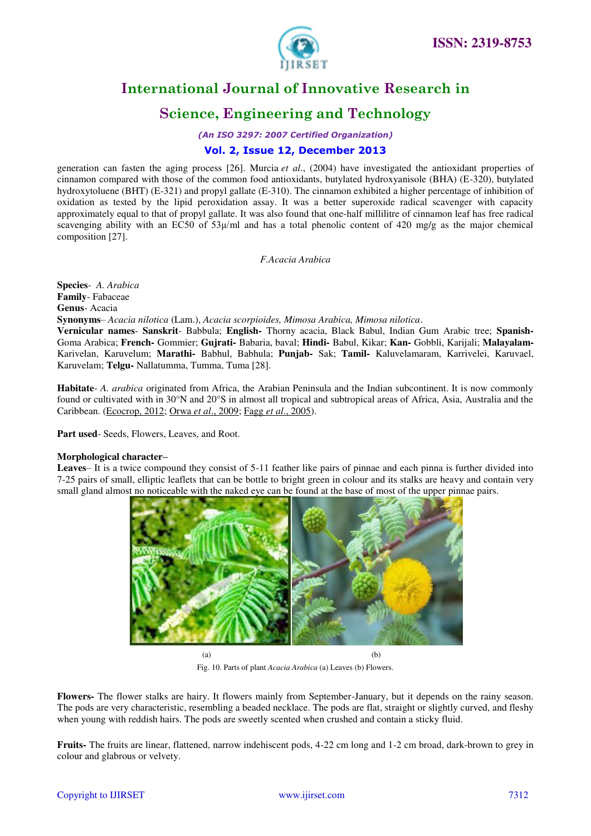

## **Science, Engineering and Technology**

*(An ISO 3297: 2007 Certified Organization)* 

### **Vol. 2, Issue 12, December 2013**

generation can fasten the aging process [26]. Murcia *et al*., (2004) have investigated the antioxidant properties of cinnamon compared with those of the common food antioxidants, butylated hydroxyanisole (BHA) (E-320), butylated hydroxytoluene (BHT) (E-321) and propyl gallate (E-310). The cinnamon exhibited a higher percentage of inhibition of oxidation as tested by the lipid peroxidation assay. It was a better superoxide radical scavenger with capacity approximately equal to that of propyl gallate. It was also found that one-half millilitre of cinnamon leaf has free radical scavenging ability with an EC50 of 53 $\mu$ /ml and has a total phenolic content of 420 mg/g as the major chemical composition [27].

### *F.Acacia Arabica*

**Species**- *A. Arabica* **Family**- Fabaceae **Genus**- Acacia **Synonyms**– *Acacia nilotica* (Lam.), *Acacia scorpioides, Mimosa Arabica, Mimosa nilotica*.

**Vernicular names**- **Sanskrit**- Babbula; **English-** Thorny acacia, Black Babul, Indian Gum Arabic tree; **Spanish-**Goma Arabica; **French-** Gommier; **Gujrati-** Babaria, baval; **Hindi-** Babul, Kikar; **Kan-** Gobbli, Karijali; **Malayalam-**Karivelan, Karuvelum; **Marathi-** Babhul, Babhula; **Punjab-** Sak; **Tamil-** Kaluvelamaram, Karrivelei, Karuvael, Karuvelam; **Telgu-** Nallatumma, Tumma, Tuma [28].

**Habitate**- *A. arabica* originated from Africa, the Arabian Peninsula and the Indian subcontinent. It is now commonly found or cultivated with in 30°N and 20°S in almost all tropical and subtropical areas of Africa, Asia, Australia and the Caribbean. [\(Ecocrop, 2012;](http://www.feedipedia.org/node/14283) Orwa *et al*[., 2009;](http://www.feedipedia.org/node/1650) Fagg *et al*[., 2005\)](http://www.feedipedia.org/node/14378).

**Part used**- Seeds, Flowers, Leaves, and Root.

### **Morphological character–**

Leaves– It is a twice compound they consist of 5-11 feather like pairs of pinnae and each pinna is further divided into 7-25 pairs of small, elliptic leaflets that can be bottle to bright green in colour and its stalks are heavy and contain very small gland almost no noticeable with the naked eye can be found at the base of most of the upper pinnae pairs.



Fig. 10. Parts of plant *Acacia Arabica* (a) Leaves (b) Flowers.

**Flowers-** The flower stalks are hairy. It flowers mainly from September-January, but it depends on the rainy season. The pods are very characteristic, resembling a beaded necklace. The pods are flat, straight or slightly curved, and fleshy when young with reddish hairs. The pods are sweetly scented when crushed and contain a sticky fluid.

**Fruits-** The fruits are linear, flattened, narrow indehiscent pods, 4-22 cm long and 1-2 cm broad, dark-brown to grey in colour and glabrous or velvety.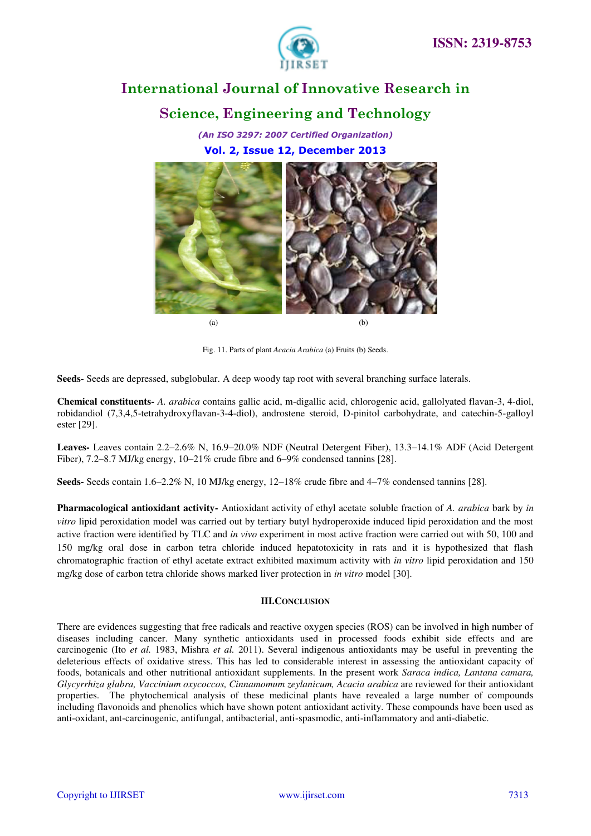

## **Science, Engineering and Technology**

*(An ISO 3297: 2007 Certified Organization)*  **Vol. 2, Issue 12, December 2013**



Fig. 11. Parts of plant *Acacia Arabica* (a) Fruits (b) Seeds.

**Seeds-** Seeds are depressed, subglobular. A deep woody tap root with several branching surface laterals.

**Chemical constituents-** *A. arabica* contains gallic acid, m-digallic acid, chlorogenic acid, gallolyated flavan-3, 4-diol, robidandiol (7,3,4,5-tetrahydroxyflavan-3-4-diol), androstene steroid, D-pinitol carbohydrate, and catechin-5-galloyl ester [29].

**Leaves-** Leaves contain 2.2–2.6% N, 16.9–20.0% NDF (Neutral Detergent Fiber), 13.3–14.1% ADF (Acid Detergent Fiber), 7.2–8.7 MJ/kg energy, 10–21% crude fibre and 6–9% condensed tannins [28].

**Seeds-** Seeds contain 1.6–2.2% N, 10 MJ/kg energy, 12–18% crude fibre and 4–7% condensed tannins [28].

**Pharmacological antioxidant activity-** Antioxidant activity of ethyl acetate soluble fraction of *A. arabica* bark by *in vitro* lipid peroxidation model was carried out by tertiary butyl hydroperoxide induced lipid peroxidation and the most active fraction were identified by TLC and *in vivo* experiment in most active fraction were carried out with 50, 100 and 150 mg/kg oral dose in carbon tetra chloride induced hepatotoxicity in rats and it is hypothesized that flash chromatographic fraction of ethyl acetate extract exhibited maximum activity with *in vitro* lipid peroxidation and 150 mg/kg dose of carbon tetra chloride shows marked liver protection in *in vitro* model [30].

### **III.CONCLUSION**

There are evidences suggesting that free radicals and reactive oxygen species (ROS) can be involved in high number of diseases including cancer. Many synthetic antioxidants used in processed foods exhibit side effects and are carcinogenic (Ito *et al.* 1983, Mishra *et al.* 2011). Several indigenous antioxidants may be useful in preventing the deleterious effects of oxidative stress. This has led to considerable interest in assessing the antioxidant capacity of foods, botanicals and other nutritional antioxidant supplements. In the present work *Saraca indica, Lantana camara, Glycyrrhiza glabra, Vaccinium oxycoccos, Cinnamomum zeylanicum, Acacia arabica* are reviewed for their antioxidant properties. The phytochemical analysis of these medicinal plants have revealed a large number of compounds including flavonoids and phenolics which have shown potent antioxidant activity. These compounds have been used as anti-oxidant, ant-carcinogenic, antifungal, antibacterial, anti-spasmodic, anti-inflammatory and anti-diabetic.